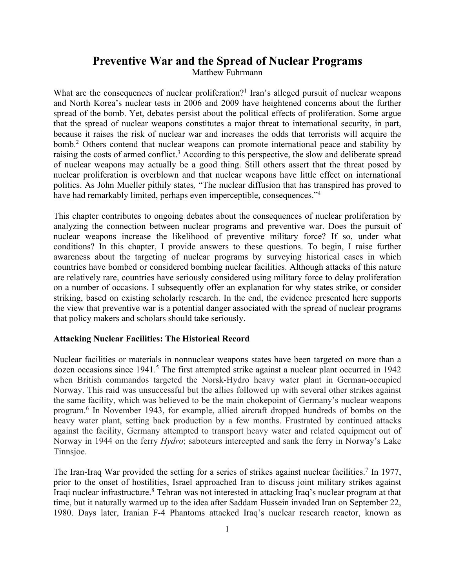## **Preventive War and the Spread of Nuclear Programs**

Matthew Fuhrmann

What are the consequences of nuclear proliferation?<sup>1</sup> Iran's alleged pursuit of nuclear weapons and North Korea's nuclear tests in 2006 and 2009 have heightened concerns about the further spread of the bomb. Yet, debates persist about the political effects of proliferation. Some argue that the spread of nuclear weapons constitutes a major threat to international security, in part, because it raises the risk of nuclear war and increases the odds that terrorists will acquire the bomb. <sup>2</sup> Others contend that nuclear weapons can promote international peace and stability by raising the costs of armed conflict.<sup>3</sup> According to this perspective, the slow and deliberate spread of nuclear weapons may actually be a good thing. Still others assert that the threat posed by nuclear proliferation is overblown and that nuclear weapons have little effect on international politics. As John Mueller pithily states*,* "The nuclear diffusion that has transpired has proved to have had remarkably limited, perhaps even imperceptible, consequences."<sup>4</sup>

This chapter contributes to ongoing debates about the consequences of nuclear proliferation by analyzing the connection between nuclear programs and preventive war. Does the pursuit of nuclear weapons increase the likelihood of preventive military force? If so, under what conditions? In this chapter, I provide answers to these questions. To begin, I raise further awareness about the targeting of nuclear programs by surveying historical cases in which countries have bombed or considered bombing nuclear facilities. Although attacks of this nature are relatively rare, countries have seriously considered using military force to delay proliferation on a number of occasions. I subsequently offer an explanation for why states strike, or consider striking, based on existing scholarly research. In the end, the evidence presented here supports the view that preventive war is a potential danger associated with the spread of nuclear programs that policy makers and scholars should take seriously.

## **Attacking Nuclear Facilities: The Historical Record**

Nuclear facilities or materials in nonnuclear weapons states have been targeted on more than a dozen occasions since 1941.<sup>5</sup> The first attempted strike against a nuclear plant occurred in 1942 when British commandos targeted the Norsk-Hydro heavy water plant in German-occupied Norway. This raid was unsuccessful but the allies followed up with several other strikes against the same facility, which was believed to be the main chokepoint of Germany's nuclear weapons program. <sup>6</sup> In November 1943, for example, allied aircraft dropped hundreds of bombs on the heavy water plant, setting back production by a few months. Frustrated by continued attacks against the facility, Germany attempted to transport heavy water and related equipment out of Norway in 1944 on the ferry *Hydro*; saboteurs intercepted and sank the ferry in Norway's Lake Tinnsjoe.

The Iran-Iraq War provided the setting for a series of strikes against nuclear facilities.<sup>7</sup> In 1977, prior to the onset of hostilities, Israel approached Iran to discuss joint military strikes against Iraqi nuclear infrastructure.8 Tehran was not interested in attacking Iraq's nuclear program at that time, but it naturally warmed up to the idea after Saddam Hussein invaded Iran on September 22, 1980. Days later, Iranian F-4 Phantoms attacked Iraq's nuclear research reactor, known as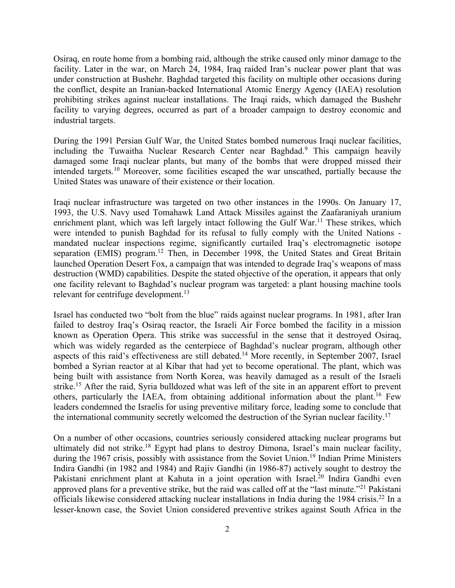Osiraq, en route home from a bombing raid, although the strike caused only minor damage to the facility. Later in the war, on March 24, 1984, Iraq raided Iran's nuclear power plant that was under construction at Bushehr. Baghdad targeted this facility on multiple other occasions during the conflict, despite an Iranian-backed International Atomic Energy Agency (IAEA) resolution prohibiting strikes against nuclear installations. The Iraqi raids, which damaged the Bushehr facility to varying degrees, occurred as part of a broader campaign to destroy economic and industrial targets.

During the 1991 Persian Gulf War, the United States bombed numerous Iraqi nuclear facilities, including the Tuwaitha Nuclear Research Center near Baghdad. <sup>9</sup> This campaign heavily damaged some Iraqi nuclear plants, but many of the bombs that were dropped missed their intended targets.10 Moreover, some facilities escaped the war unscathed, partially because the United States was unaware of their existence or their location.

Iraqi nuclear infrastructure was targeted on two other instances in the 1990s. On January 17, 1993, the U.S. Navy used Tomahawk Land Attack Missiles against the Zaafaraniyah uranium enrichment plant, which was left largely intact following the Gulf War.<sup>11</sup> These strikes, which were intended to punish Baghdad for its refusal to fully comply with the United Nations mandated nuclear inspections regime, significantly curtailed Iraq's electromagnetic isotope separation (EMIS) program.<sup>12</sup> Then, in December 1998, the United States and Great Britain launched Operation Desert Fox, a campaign that was intended to degrade Iraq's weapons of mass destruction (WMD) capabilities. Despite the stated objective of the operation, it appears that only one facility relevant to Baghdad's nuclear program was targeted: a plant housing machine tools relevant for centrifuge development.<sup>13</sup>

Israel has conducted two "bolt from the blue" raids against nuclear programs. In 1981, after Iran failed to destroy Iraq's Osiraq reactor, the Israeli Air Force bombed the facility in a mission known as Operation Opera. This strike was successful in the sense that it destroyed Osiraq, which was widely regarded as the centerpiece of Baghdad's nuclear program, although other aspects of this raid's effectiveness are still debated.14 More recently, in September 2007, Israel bombed a Syrian reactor at al Kibar that had yet to become operational. The plant, which was being built with assistance from North Korea, was heavily damaged as a result of the Israeli strike.<sup>15</sup> After the raid, Syria bulldozed what was left of the site in an apparent effort to prevent others, particularly the IAEA, from obtaining additional information about the plant.<sup>16</sup> Few leaders condemned the Israelis for using preventive military force, leading some to conclude that the international community secretly welcomed the destruction of the Syrian nuclear facility.<sup>17</sup>

On a number of other occasions, countries seriously considered attacking nuclear programs but ultimately did not strike.<sup>18</sup> Egypt had plans to destroy Dimona, Israel's main nuclear facility, during the 1967 crisis, possibly with assistance from the Soviet Union.<sup>19</sup> Indian Prime Ministers Indira Gandhi (in 1982 and 1984) and Rajiv Gandhi (in 1986-87) actively sought to destroy the Pakistani enrichment plant at Kahuta in a joint operation with Israel.<sup>20</sup> Indira Gandhi even approved plans for a preventive strike, but the raid was called off at the "last minute."21 Pakistani officials likewise considered attacking nuclear installations in India during the 1984 crisis.<sup>22</sup> In a lesser-known case, the Soviet Union considered preventive strikes against South Africa in the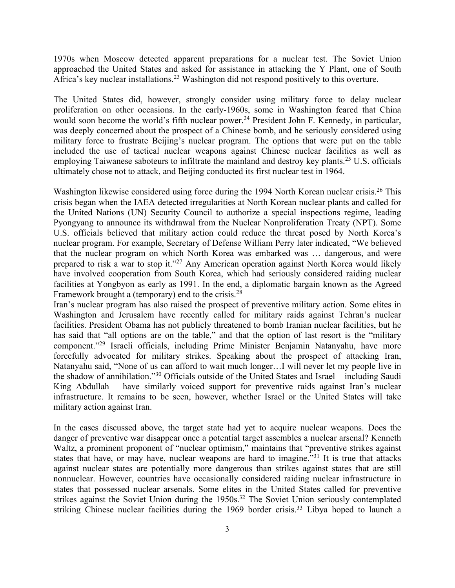1970s when Moscow detected apparent preparations for a nuclear test. The Soviet Union approached the United States and asked for assistance in attacking the Y Plant, one of South Africa's key nuclear installations.<sup>23</sup> Washington did not respond positively to this overture.

The United States did, however, strongly consider using military force to delay nuclear proliferation on other occasions. In the early-1960s, some in Washington feared that China would soon become the world's fifth nuclear power.<sup>24</sup> President John F. Kennedy, in particular, was deeply concerned about the prospect of a Chinese bomb, and he seriously considered using military force to frustrate Beijing's nuclear program. The options that were put on the table included the use of tactical nuclear weapons against Chinese nuclear facilities as well as employing Taiwanese saboteurs to infiltrate the mainland and destroy key plants.<sup>25</sup> U.S. officials ultimately chose not to attack, and Beijing conducted its first nuclear test in 1964.

Washington likewise considered using force during the 1994 North Korean nuclear crisis.<sup>26</sup> This crisis began when the IAEA detected irregularities at North Korean nuclear plants and called for the United Nations (UN) Security Council to authorize a special inspections regime, leading Pyongyang to announce its withdrawal from the Nuclear Nonproliferation Treaty (NPT). Some U.S. officials believed that military action could reduce the threat posed by North Korea's nuclear program. For example, Secretary of Defense William Perry later indicated, "We believed that the nuclear program on which North Korea was embarked was … dangerous, and were prepared to risk a war to stop it."<sup>27</sup> Any American operation against North Korea would likely have involved cooperation from South Korea, which had seriously considered raiding nuclear facilities at Yongbyon as early as 1991. In the end, a diplomatic bargain known as the Agreed Framework brought a (temporary) end to the crisis.28

Iran's nuclear program has also raised the prospect of preventive military action. Some elites in Washington and Jerusalem have recently called for military raids against Tehran's nuclear facilities. President Obama has not publicly threatened to bomb Iranian nuclear facilities, but he has said that "all options are on the table," and that the option of last resort is the "military component."29 Israeli officials, including Prime Minister Benjamin Natanyahu, have more forcefully advocated for military strikes. Speaking about the prospect of attacking Iran, Natanyahu said, "None of us can afford to wait much longer…I will never let my people live in the shadow of annihilation."30 Officials outside of the United States and Israel – including Saudi King Abdullah – have similarly voiced support for preventive raids against Iran's nuclear infrastructure. It remains to be seen, however, whether Israel or the United States will take military action against Iran.

In the cases discussed above, the target state had yet to acquire nuclear weapons. Does the danger of preventive war disappear once a potential target assembles a nuclear arsenal? Kenneth Waltz, a prominent proponent of "nuclear optimism," maintains that "preventive strikes against states that have, or may have, nuclear weapons are hard to imagine.<sup>"31</sup> It is true that attacks against nuclear states are potentially more dangerous than strikes against states that are still nonnuclear. However, countries have occasionally considered raiding nuclear infrastructure in states that possessed nuclear arsenals. Some elites in the United States called for preventive strikes against the Soviet Union during the 1950s.<sup>32</sup> The Soviet Union seriously contemplated striking Chinese nuclear facilities during the 1969 border crisis.<sup>33</sup> Libya hoped to launch a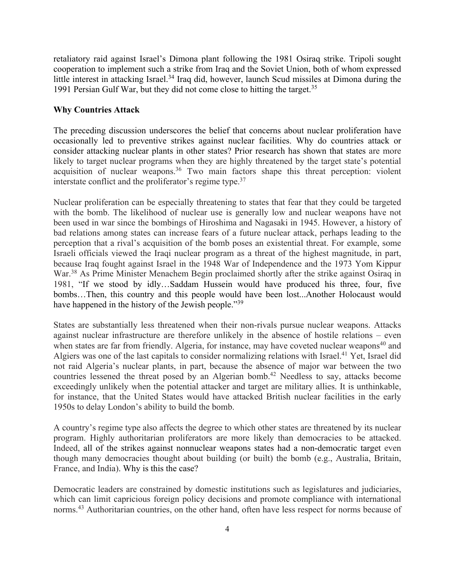retaliatory raid against Israel's Dimona plant following the 1981 Osiraq strike. Tripoli sought cooperation to implement such a strike from Iraq and the Soviet Union, both of whom expressed little interest in attacking Israel.<sup>34</sup> Iraq did, however, launch Scud missiles at Dimona during the 1991 Persian Gulf War, but they did not come close to hitting the target.35

## **Why Countries Attack**

The preceding discussion underscores the belief that concerns about nuclear proliferation have occasionally led to preventive strikes against nuclear facilities. Why do countries attack or consider attacking nuclear plants in other states? Prior research has shown that states are more likely to target nuclear programs when they are highly threatened by the target state's potential acquisition of nuclear weapons.<sup>36</sup> Two main factors shape this threat perception: violent interstate conflict and the proliferator's regime type.<sup>37</sup>

Nuclear proliferation can be especially threatening to states that fear that they could be targeted with the bomb. The likelihood of nuclear use is generally low and nuclear weapons have not been used in war since the bombings of Hiroshima and Nagasaki in 1945. However, a history of bad relations among states can increase fears of a future nuclear attack, perhaps leading to the perception that a rival's acquisition of the bomb poses an existential threat. For example, some Israeli officials viewed the Iraqi nuclear program as a threat of the highest magnitude, in part, because Iraq fought against Israel in the 1948 War of Independence and the 1973 Yom Kippur War.<sup>38</sup> As Prime Minister Menachem Begin proclaimed shortly after the strike against Osiraq in 1981, "If we stood by idly…Saddam Hussein would have produced his three, four, five bombs…Then, this country and this people would have been lost...Another Holocaust would have happened in the history of the Jewish people."<sup>39</sup>

States are substantially less threatened when their non-rivals pursue nuclear weapons. Attacks against nuclear infrastructure are therefore unlikely in the absence of hostile relations – even when states are far from friendly. Algeria, for instance, may have coveted nuclear weapons<sup>40</sup> and Algiers was one of the last capitals to consider normalizing relations with Israel.<sup>41</sup> Yet, Israel did not raid Algeria's nuclear plants, in part, because the absence of major war between the two countries lessened the threat posed by an Algerian bomb.<sup>42</sup> Needless to say, attacks become exceedingly unlikely when the potential attacker and target are military allies. It is unthinkable, for instance, that the United States would have attacked British nuclear facilities in the early 1950s to delay London's ability to build the bomb.

A country's regime type also affects the degree to which other states are threatened by its nuclear program. Highly authoritarian proliferators are more likely than democracies to be attacked. Indeed, all of the strikes against nonnuclear weapons states had a non-democratic target even though many democracies thought about building (or built) the bomb (e.g., Australia, Britain, France, and India). Why is this the case?

Democratic leaders are constrained by domestic institutions such as legislatures and judiciaries, which can limit capricious foreign policy decisions and promote compliance with international norms.43 Authoritarian countries, on the other hand, often have less respect for norms because of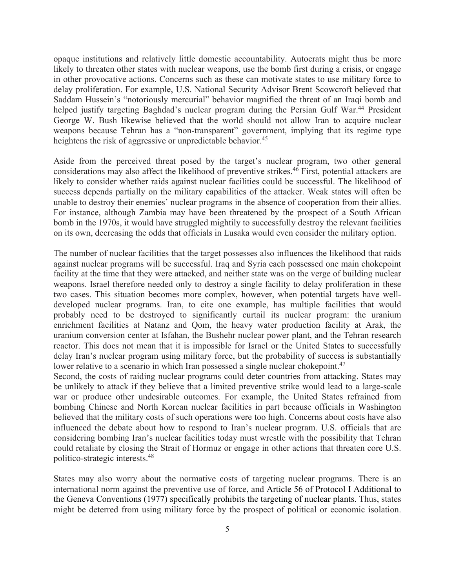opaque institutions and relatively little domestic accountability. Autocrats might thus be more likely to threaten other states with nuclear weapons, use the bomb first during a crisis, or engage in other provocative actions. Concerns such as these can motivate states to use military force to delay proliferation. For example, U.S. National Security Advisor Brent Scowcroft believed that Saddam Hussein's "notoriously mercurial" behavior magnified the threat of an Iraqi bomb and helped justify targeting Baghdad's nuclear program during the Persian Gulf War.<sup>44</sup> President George W. Bush likewise believed that the world should not allow Iran to acquire nuclear weapons because Tehran has a "non-transparent" government, implying that its regime type heightens the risk of aggressive or unpredictable behavior.<sup>45</sup>

Aside from the perceived threat posed by the target's nuclear program, two other general considerations may also affect the likelihood of preventive strikes.<sup>46</sup> First, potential attackers are likely to consider whether raids against nuclear facilities could be successful. The likelihood of success depends partially on the military capabilities of the attacker. Weak states will often be unable to destroy their enemies' nuclear programs in the absence of cooperation from their allies. For instance, although Zambia may have been threatened by the prospect of a South African bomb in the 1970s, it would have struggled mightily to successfully destroy the relevant facilities on its own, decreasing the odds that officials in Lusaka would even consider the military option.

The number of nuclear facilities that the target possesses also influences the likelihood that raids against nuclear programs will be successful. Iraq and Syria each possessed one main chokepoint facility at the time that they were attacked, and neither state was on the verge of building nuclear weapons. Israel therefore needed only to destroy a single facility to delay proliferation in these two cases. This situation becomes more complex, however, when potential targets have welldeveloped nuclear programs. Iran, to cite one example, has multiple facilities that would probably need to be destroyed to significantly curtail its nuclear program: the uranium enrichment facilities at Natanz and Qom, the heavy water production facility at Arak, the uranium conversion center at Isfahan, the Bushehr nuclear power plant, and the Tehran research reactor. This does not mean that it is impossible for Israel or the United States to successfully delay Iran's nuclear program using military force, but the probability of success is substantially lower relative to a scenario in which Iran possessed a single nuclear chokepoint.<sup>47</sup>

Second, the costs of raiding nuclear programs could deter countries from attacking. States may be unlikely to attack if they believe that a limited preventive strike would lead to a large-scale war or produce other undesirable outcomes. For example, the United States refrained from bombing Chinese and North Korean nuclear facilities in part because officials in Washington believed that the military costs of such operations were too high. Concerns about costs have also influenced the debate about how to respond to Iran's nuclear program. U.S. officials that are considering bombing Iran's nuclear facilities today must wrestle with the possibility that Tehran could retaliate by closing the Strait of Hormuz or engage in other actions that threaten core U.S. politico-strategic interests.48

States may also worry about the normative costs of targeting nuclear programs. There is an international norm against the preventive use of force, and Article 56 of Protocol I Additional to the Geneva Conventions (1977) specifically prohibits the targeting of nuclear plants. Thus, states might be deterred from using military force by the prospect of political or economic isolation.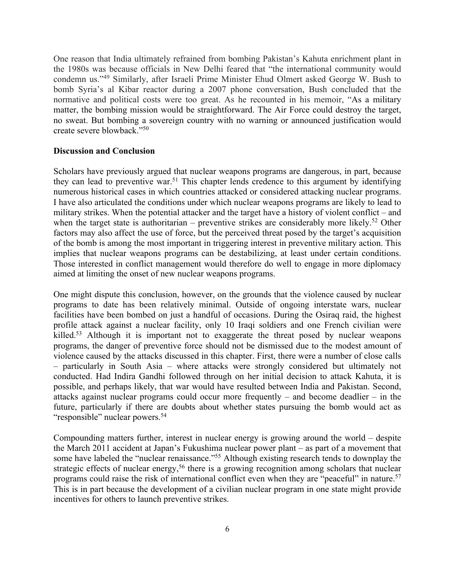One reason that India ultimately refrained from bombing Pakistan's Kahuta enrichment plant in the 1980s was because officials in New Delhi feared that "the international community would condemn us."49 Similarly, after Israeli Prime Minister Ehud Olmert asked George W. Bush to bomb Syria's al Kibar reactor during a 2007 phone conversation, Bush concluded that the normative and political costs were too great. As he recounted in his memoir, "As a military matter, the bombing mission would be straightforward. The Air Force could destroy the target, no sweat. But bombing a sovereign country with no warning or announced justification would create severe blowback."50

## **Discussion and Conclusion**

Scholars have previously argued that nuclear weapons programs are dangerous, in part, because they can lead to preventive war.<sup>51</sup> This chapter lends credence to this argument by identifying numerous historical cases in which countries attacked or considered attacking nuclear programs. I have also articulated the conditions under which nuclear weapons programs are likely to lead to military strikes. When the potential attacker and the target have a history of violent conflict – and when the target state is authoritarian – preventive strikes are considerably more likely.<sup>52</sup> Other factors may also affect the use of force, but the perceived threat posed by the target's acquisition of the bomb is among the most important in triggering interest in preventive military action. This implies that nuclear weapons programs can be destabilizing, at least under certain conditions. Those interested in conflict management would therefore do well to engage in more diplomacy aimed at limiting the onset of new nuclear weapons programs.

One might dispute this conclusion, however, on the grounds that the violence caused by nuclear programs to date has been relatively minimal. Outside of ongoing interstate wars, nuclear facilities have been bombed on just a handful of occasions. During the Osiraq raid, the highest profile attack against a nuclear facility, only 10 Iraqi soldiers and one French civilian were killed.<sup>53</sup> Although it is important not to exaggerate the threat posed by nuclear weapons programs, the danger of preventive force should not be dismissed due to the modest amount of violence caused by the attacks discussed in this chapter. First, there were a number of close calls – particularly in South Asia – where attacks were strongly considered but ultimately not conducted. Had Indira Gandhi followed through on her initial decision to attack Kahuta, it is possible, and perhaps likely, that war would have resulted between India and Pakistan. Second, attacks against nuclear programs could occur more frequently – and become deadlier – in the future, particularly if there are doubts about whether states pursuing the bomb would act as "responsible" nuclear powers.<sup>54</sup>

Compounding matters further, interest in nuclear energy is growing around the world – despite the March 2011 accident at Japan's Fukushima nuclear power plant – as part of a movement that some have labeled the "nuclear renaissance."55 Although existing research tends to downplay the strategic effects of nuclear energy,<sup>56</sup> there is a growing recognition among scholars that nuclear programs could raise the risk of international conflict even when they are "peaceful" in nature.<sup>57</sup> This is in part because the development of a civilian nuclear program in one state might provide incentives for others to launch preventive strikes.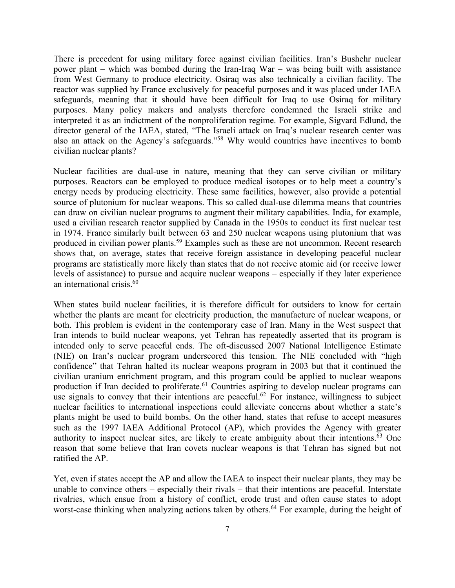There is precedent for using military force against civilian facilities. Iran's Bushehr nuclear power plant – which was bombed during the Iran-Iraq War – was being built with assistance from West Germany to produce electricity. Osiraq was also technically a civilian facility. The reactor was supplied by France exclusively for peaceful purposes and it was placed under IAEA safeguards, meaning that it should have been difficult for Iraq to use Osiraq for military purposes. Many policy makers and analysts therefore condemned the Israeli strike and interpreted it as an indictment of the nonproliferation regime. For example, Sigvard Edlund, the director general of the IAEA, stated, "The Israeli attack on Iraq's nuclear research center was also an attack on the Agency's safeguards."58 Why would countries have incentives to bomb civilian nuclear plants?

Nuclear facilities are dual-use in nature, meaning that they can serve civilian or military purposes. Reactors can be employed to produce medical isotopes or to help meet a country's energy needs by producing electricity. These same facilities, however, also provide a potential source of plutonium for nuclear weapons. This so called dual-use dilemma means that countries can draw on civilian nuclear programs to augment their military capabilities. India, for example, used a civilian research reactor supplied by Canada in the 1950s to conduct its first nuclear test in 1974. France similarly built between 63 and 250 nuclear weapons using plutonium that was produced in civilian power plants.<sup>59</sup> Examples such as these are not uncommon. Recent research shows that, on average, states that receive foreign assistance in developing peaceful nuclear programs are statistically more likely than states that do not receive atomic aid (or receive lower levels of assistance) to pursue and acquire nuclear weapons – especially if they later experience an international crisis.60

When states build nuclear facilities, it is therefore difficult for outsiders to know for certain whether the plants are meant for electricity production, the manufacture of nuclear weapons, or both. This problem is evident in the contemporary case of Iran. Many in the West suspect that Iran intends to build nuclear weapons, yet Tehran has repeatedly asserted that its program is intended only to serve peaceful ends. The oft-discussed 2007 National Intelligence Estimate (NIE) on Iran's nuclear program underscored this tension. The NIE concluded with "high confidence" that Tehran halted its nuclear weapons program in 2003 but that it continued the civilian uranium enrichment program, and this program could be applied to nuclear weapons production if Iran decided to proliferate.<sup>61</sup> Countries aspiring to develop nuclear programs can use signals to convey that their intentions are peaceful.<sup>62</sup> For instance, willingness to subject nuclear facilities to international inspections could alleviate concerns about whether a state's plants might be used to build bombs. On the other hand, states that refuse to accept measures such as the 1997 IAEA Additional Protocol (AP), which provides the Agency with greater authority to inspect nuclear sites, are likely to create ambiguity about their intentions.<sup>63</sup> One reason that some believe that Iran covets nuclear weapons is that Tehran has signed but not ratified the AP.

Yet, even if states accept the AP and allow the IAEA to inspect their nuclear plants, they may be unable to convince others – especially their rivals – that their intentions are peaceful. Interstate rivalries, which ensue from a history of conflict, erode trust and often cause states to adopt worst-case thinking when analyzing actions taken by others.<sup>64</sup> For example, during the height of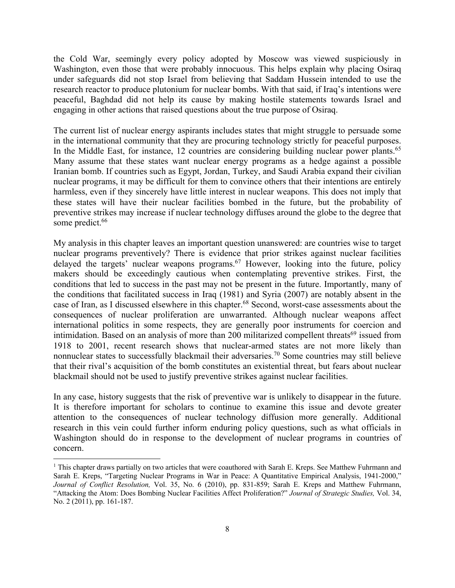the Cold War, seemingly every policy adopted by Moscow was viewed suspiciously in Washington, even those that were probably innocuous. This helps explain why placing Osiraq under safeguards did not stop Israel from believing that Saddam Hussein intended to use the research reactor to produce plutonium for nuclear bombs. With that said, if Iraq's intentions were peaceful, Baghdad did not help its cause by making hostile statements towards Israel and engaging in other actions that raised questions about the true purpose of Osiraq.

The current list of nuclear energy aspirants includes states that might struggle to persuade some in the international community that they are procuring technology strictly for peaceful purposes. In the Middle East, for instance, 12 countries are considering building nuclear power plants.<sup>65</sup> Many assume that these states want nuclear energy programs as a hedge against a possible Iranian bomb. If countries such as Egypt, Jordan, Turkey, and Saudi Arabia expand their civilian nuclear programs, it may be difficult for them to convince others that their intentions are entirely harmless, even if they sincerely have little interest in nuclear weapons. This does not imply that these states will have their nuclear facilities bombed in the future, but the probability of preventive strikes may increase if nuclear technology diffuses around the globe to the degree that some predict.<sup>66</sup>

My analysis in this chapter leaves an important question unanswered: are countries wise to target nuclear programs preventively? There is evidence that prior strikes against nuclear facilities delayed the targets' nuclear weapons programs.<sup>67</sup> However, looking into the future, policy makers should be exceedingly cautious when contemplating preventive strikes. First, the conditions that led to success in the past may not be present in the future. Importantly, many of the conditions that facilitated success in Iraq (1981) and Syria (2007) are notably absent in the case of Iran, as I discussed elsewhere in this chapter.68 Second, worst-case assessments about the consequences of nuclear proliferation are unwarranted. Although nuclear weapons affect international politics in some respects, they are generally poor instruments for coercion and intimidation. Based on an analysis of more than 200 militarized compellent threats<sup>69</sup> issued from 1918 to 2001, recent research shows that nuclear-armed states are not more likely than nonnuclear states to successfully blackmail their adversaries.<sup>70</sup> Some countries may still believe that their rival's acquisition of the bomb constitutes an existential threat, but fears about nuclear blackmail should not be used to justify preventive strikes against nuclear facilities.

In any case, history suggests that the risk of preventive war is unlikely to disappear in the future. It is therefore important for scholars to continue to examine this issue and devote greater attention to the consequences of nuclear technology diffusion more generally. Additional research in this vein could further inform enduring policy questions, such as what officials in Washington should do in response to the development of nuclear programs in countries of concern.

<sup>&</sup>lt;sup>1</sup> This chapter draws partially on two articles that were coauthored with Sarah E. Kreps. See Matthew Fuhrmann and Sarah E. Kreps, "Targeting Nuclear Programs in War in Peace: A Quantitative Empirical Analysis, 1941-2000," *Journal of Conflict Resolution,* Vol. 35, No. 6 (2010), pp. 831-859; Sarah E. Kreps and Matthew Fuhrmann, "Attacking the Atom: Does Bombing Nuclear Facilities Affect Proliferation?" *Journal of Strategic Studies,* Vol. 34, No. 2 (2011), pp. 161-187.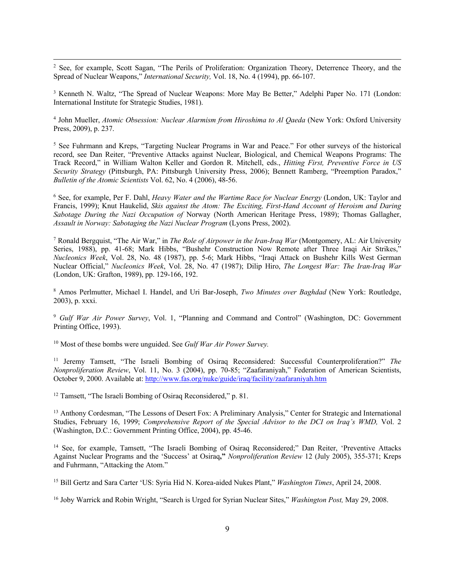<sup>2</sup> See, for example, Scott Sagan, "The Perils of Proliferation: Organization Theory, Deterrence Theory, and the Spread of Nuclear Weapons," *International Security,* Vol. 18, No. 4 (1994), pp. 66-107.

<sup>3</sup> Kenneth N. Waltz, "The Spread of Nuclear Weapons: More May Be Better," Adelphi Paper No. 171 (London: International Institute for Strategic Studies, 1981).

<sup>4</sup> John Mueller, *Atomic Obsession: Nuclear Alarmism from Hiroshima to Al Qaeda* (New York: Oxford University Press, 2009), p. 237.

<sup>5</sup> See Fuhrmann and Kreps, "Targeting Nuclear Programs in War and Peace." For other surveys of the historical record, see Dan Reiter, "Preventive Attacks against Nuclear, Biological, and Chemical Weapons Programs: The Track Record," in William Walton Keller and Gordon R. Mitchell, eds., *Hitting First, Preventive Force in US Security Strategy* (Pittsburgh, PA: Pittsburgh University Press, 2006); Bennett Ramberg, "Preemption Paradox," *Bulletin of the Atomic Scientists* Vol. 62, No. 4 (2006), 48-56.

<sup>6</sup> See, for example, Per F. Dahl, *Heavy Water and the Wartime Race for Nuclear Energy* (London, UK: Taylor and Francis, 1999); Knut Haukelid, *Skis against the Atom: The Exciting, First-Hand Account of Heroism and Daring Sabotage During the Nazi Occupation of* Norway (North American Heritage Press, 1989); Thomas Gallagher, *Assault in Norway: Sabotaging the Nazi Nuclear Program* (Lyons Press, 2002).

<sup>7</sup> Ronald Bergquist, "The Air War," in *The Role of Airpower in the Iran-Iraq War* (Montgomery, AL: Air University Series, 1988), pp. 41-68; Mark Hibbs, "Bushehr Construction Now Remote after Three Iraqi Air Strikes," *Nucleonics Week*, Vol. 28, No. 48 (1987), pp. 5-6; Mark Hibbs, "Iraqi Attack on Bushehr Kills West German Nuclear Official," *Nucleonics Week*, Vol. 28, No. 47 (1987); Dilip Hiro, *The Longest War: The Iran-Iraq War* (London, UK: Grafton, 1989), pp. 129-166, 192.

<sup>8</sup> Amos Perlmutter, Michael I. Handel, and Uri Bar-Joseph, *Two Minutes over Baghdad* (New York: Routledge, 2003), p. xxxi.

<sup>9</sup> *Gulf War Air Power Survey*, Vol. 1, "Planning and Command and Control" (Washington, DC: Government Printing Office, 1993).

<sup>10</sup> Most of these bombs were unguided. See *Gulf War Air Power Survey.*

<sup>11</sup> Jeremy Tamsett, "The Israeli Bombing of Osiraq Reconsidered: Successful Counterproliferation?" *The Nonproliferation Review*, Vol. 11, No. 3 (2004), pp. 70-85; "Zaafaraniyah," Federation of American Scientists, October 9, 2000. Available at: http://www.fas.org/nuke/guide/iraq/facility/zaafaraniyah.htm

<sup>12</sup> Tamsett, "The Israeli Bombing of Osiraq Reconsidered," p. 81.

<sup>13</sup> Anthony Cordesman, "The Lessons of Desert Fox: A Preliminary Analysis," Center for Strategic and International Studies, February 16, 1999; *Comprehensive Report of the Special Advisor to the DCI on Iraq's WMD,* Vol. 2 (Washington, D.C.: Government Printing Office, 2004), pp. 45-46.

<sup>14</sup> See, for example, Tamsett, "The Israeli Bombing of Osiraq Reconsidered;" Dan Reiter, 'Preventive Attacks Against Nuclear Programs and the 'Success' at Osiraq**,"** *Nonproliferation Review* 12 (July 2005), 355-371; Kreps and Fuhrmann, "Attacking the Atom."

<sup>15</sup> Bill Gertz and Sara Carter 'US: Syria Hid N. Korea-aided Nukes Plant," *Washington Times*, April 24, 2008.

<sup>16</sup> Joby Warrick and Robin Wright, "Search is Urged for Syrian Nuclear Sites," *Washington Post,* May 29, 2008.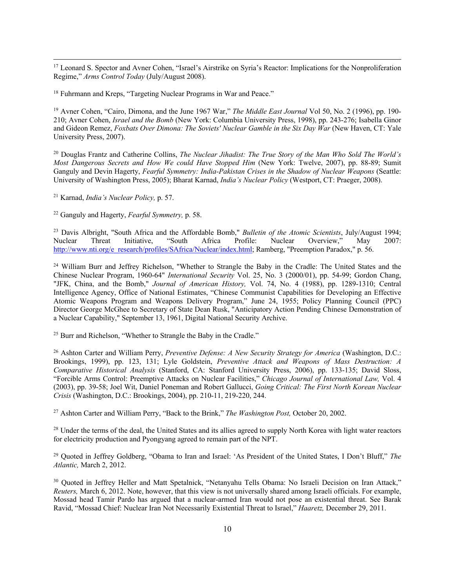<sup>17</sup> Leonard S. Spector and Avner Cohen, "Israel's Airstrike on Syria's Reactor: Implications for the Nonproliferation Regime," *Arms Control Today* (July/August 2008).

<sup>18</sup> Fuhrmann and Kreps, "Targeting Nuclear Programs in War and Peace."

<sup>19</sup> Avner Cohen, "Cairo, Dimona, and the June 1967 War," *The Middle East Journal* Vol 50, No. 2 (1996), pp. 190-210; Avner Cohen, *Israel and the Bomb* (New York: Columbia University Press, 1998), pp. 243-276; Isabella Ginor and Gideon Remez, *Foxbats Over Dimona: The Soviets' Nuclear Gamble in the Six Day War* (New Haven, CT: Yale University Press, 2007).

<sup>20</sup> Douglas Frantz and Catherine Collins, *The Nuclear Jihadist: The True Story of the Man Who Sold The World's Most Dangerous Secrets and How We could Have Stopped Him* (New York: Twelve, 2007), pp. 88-89; Sumit Ganguly and Devin Hagerty, *Fearful Symmetry: India-Pakistan Crises in the Shadow of Nuclear Weapons* (Seattle: University of Washington Press, 2005); Bharat Karnad, *India's Nuclear Policy* (Westport, CT: Praeger, 2008).

<sup>21</sup> Karnad, *India's Nuclear Policy,* p. 57.

<sup>22</sup> Ganguly and Hagerty, *Fearful Symmetry,* p. 58.

<sup>23</sup> Davis Albright, "South Africa and the Affordable Bomb," *Bulletin of the Atomic Scientists*, July/August 1994;<br>Nuclear Threat Initiative, "South Africa Profile: Nuclear Overview," May 2007: Nuclear Threat Initiative, "South Africa Profile: Nuclear Overview," May 2007: http://www.nti.org/e\_research/profiles/SAfrica/Nuclear/index.html; Ramberg, "Preemption Paradox," p. 56.

<sup>24</sup> William Burr and Jeffrey Richelson, "Whether to Strangle the Baby in the Cradle: The United States and the Chinese Nuclear Program, 1960-64" *International Security* Vol. 25, No. 3 (2000/01), pp. 54-99; Gordon Chang, "JFK, China, and the Bomb," *Journal of American History,* Vol. 74, No. 4 (1988), pp. 1289-1310; Central Intelligence Agency, Office of National Estimates, "Chinese Communist Capabilities for Developing an Effective Atomic Weapons Program and Weapons Delivery Program," June 24, 1955; Policy Planning Council (PPC) Director George McGhee to Secretary of State Dean Rusk, "Anticipatory Action Pending Chinese Demonstration of a Nuclear Capability," September 13, 1961, Digital National Security Archive.

<sup>25</sup> Burr and Richelson, "Whether to Strangle the Baby in the Cradle."

<sup>26</sup> Ashton Carter and William Perry, *Preventive Defense: A New Security Strategy for America* (Washington, D.C.: Brookings, 1999), pp. 123, 131; Lyle Goldstein, *Preventive Attack and Weapons of Mass Destruction: A Comparative Historical Analysis* (Stanford, CA: Stanford University Press, 2006), pp. 133-135; David Sloss, "Forcible Arms Control: Preemptive Attacks on Nuclear Facilities," *Chicago Journal of International Law,* Vol. 4 (2003), pp. 39-58; Joel Wit, Daniel Poneman and Robert Gallucci, *Going Critical: The First North Korean Nuclear Crisis* (Washington, D.C.: Brookings, 2004), pp. 210-11, 219-220, 244.

<sup>27</sup> Ashton Carter and William Perry, "Back to the Brink," *The Washington Post,* October 20, 2002.

<sup>28</sup> Under the terms of the deal, the United States and its allies agreed to supply North Korea with light water reactors for electricity production and Pyongyang agreed to remain part of the NPT.

<sup>29</sup> Quoted in Jeffrey Goldberg, "Obama to Iran and Israel: 'As President of the United States, I Don't Bluff," *The Atlantic,* March 2, 2012.

<sup>30</sup> Quoted in Jeffrey Heller and Matt Spetalnick, "Netanyahu Tells Obama: No Israeli Decision on Iran Attack," *Reuters,* March 6, 2012. Note, however, that this view is not universally shared among Israeli officials. For example, Mossad head Tamir Pardo has argued that a nuclear-armed Iran would not pose an existential threat. See Barak Ravid, "Mossad Chief: Nuclear Iran Not Necessarily Existential Threat to Israel," *Haaretz,* December 29, 2011.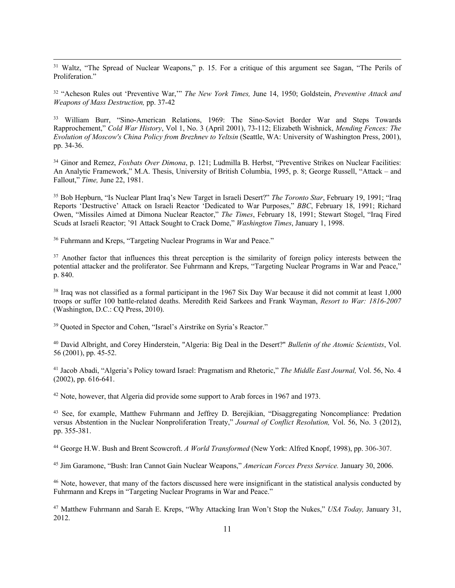<sup>31</sup> Waltz, "The Spread of Nuclear Weapons," p. 15. For a critique of this argument see Sagan, "The Perils of Proliferation."

<sup>32</sup> "Acheson Rules out 'Preventive War,'" *The New York Times,* June 14, 1950; Goldstein, *Preventive Attack and Weapons of Mass Destruction,* pp. 37-42

<sup>33</sup> William Burr, "Sino-American Relations, 1969: The Sino-Soviet Border War and Steps Towards Rapprochement," *Cold War History*, Vol 1, No. 3 (April 2001), 73-112; Elizabeth Wishnick, *Mending Fences: The Evolution of Moscow's China Policy from Brezhnev to Yeltsin* (Seattle, WA: University of Washington Press, 2001), pp. 34-36.

<sup>34</sup> Ginor and Remez, *Foxbats Over Dimona*, p. 121; Ludmilla B. Herbst, "Preventive Strikes on Nuclear Facilities: An Analytic Framework," M.A. Thesis, University of British Columbia, 1995, p. 8; George Russell, "Attack – and Fallout," *Time,* June 22, 1981.

<sup>35</sup> Bob Hepburn, "Is Nuclear Plant Iraq's New Target in Israeli Desert?" *The Toronto Star*, February 19, 1991; "Iraq Reports 'Destructive' Attack on Israeli Reactor 'Dedicated to War Purposes," *BBC*, February 18, 1991; Richard Owen, "Missiles Aimed at Dimona Nuclear Reactor," *The Times*, February 18, 1991; Stewart Stogel, "Iraq Fired Scuds at Israeli Reactor; '91 Attack Sought to Crack Dome," *Washington Times*, January 1, 1998.

<sup>36</sup> Fuhrmann and Kreps, "Targeting Nuclear Programs in War and Peace."

<sup>37</sup> Another factor that influences this threat perception is the similarity of foreign policy interests between the potential attacker and the proliferator. See Fuhrmann and Kreps, "Targeting Nuclear Programs in War and Peace," p. 840.

<sup>38</sup> Iraq was not classified as a formal participant in the 1967 Six Day War because it did not commit at least 1,000 troops or suffer 100 battle-related deaths. Meredith Reid Sarkees and Frank Wayman, *Resort to War: 1816-2007*  (Washington, D.C.: CQ Press, 2010).

<sup>39</sup> Quoted in Spector and Cohen, "Israel's Airstrike on Syria's Reactor."

<sup>40</sup> David Albright, and Corey Hinderstein, "Algeria: Big Deal in the Desert?" *Bulletin of the Atomic Scientists*, Vol. 56 (2001), pp. 45-52.

<sup>41</sup> Jacob Abadi, "Algeria's Policy toward Israel: Pragmatism and Rhetoric," *The Middle East Journal,* Vol. 56, No. 4 (2002), pp. 616-641.

 $42$  Note, however, that Algeria did provide some support to Arab forces in 1967 and 1973.

<sup>43</sup> See, for example, Matthew Fuhrmann and Jeffrey D. Berejikian, "Disaggregating Noncompliance: Predation versus Abstention in the Nuclear Nonproliferation Treaty," *Journal of Conflict Resolution,* Vol. 56, No. 3 (2012), pp. 355-381.

<sup>44</sup> George H.W. Bush and Brent Scowcroft. *A World Transformed* (New York: Alfred Knopf, 1998), pp. 306-307.

<sup>45</sup> Jim Garamone, "Bush: Iran Cannot Gain Nuclear Weapons," *American Forces Press Service.* January 30, 2006.

<sup>46</sup> Note, however, that many of the factors discussed here were insignificant in the statistical analysis conducted by Fuhrmann and Kreps in "Targeting Nuclear Programs in War and Peace."

<sup>47</sup> Matthew Fuhrmann and Sarah E. Kreps, "Why Attacking Iran Won't Stop the Nukes," *USA Today,* January 31, 2012.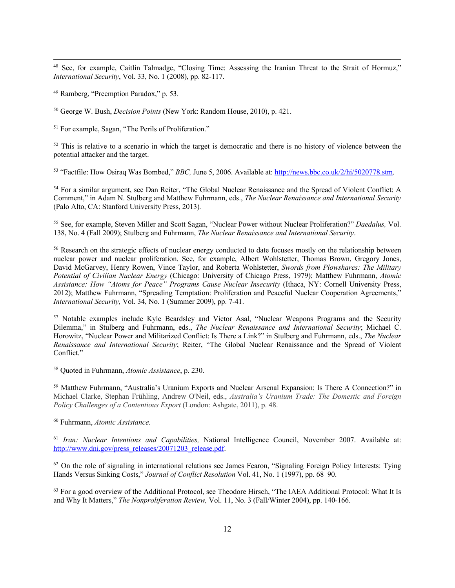<sup>48</sup> See, for example, Caitlin Talmadge, "Closing Time: Assessing the Iranian Threat to the Strait of Hormuz," *International Security*, Vol. 33, No. 1 (2008), pp. 82-117.

<sup>49</sup> Ramberg, "Preemption Paradox," p. 53.

<sup>50</sup> George W. Bush, *Decision Points* (New York: Random House, 2010), p. 421.

<sup>51</sup> For example, Sagan, "The Perils of Proliferation."

 $52$  This is relative to a scenario in which the target is democratic and there is no history of violence between the potential attacker and the target.

<sup>53</sup> "Factfile: How Osiraq Was Bombed," *BBC,* June 5, 2006. Available at: http://news.bbc.co.uk/2/hi/5020778.stm.

<sup>54</sup> For a similar argument, see Dan Reiter, "The Global Nuclear Renaissance and the Spread of Violent Conflict: A Comment," in Adam N. Stulberg and Matthew Fuhrmann, eds., *The Nuclear Renaissance and International Security*  (Palo Alto, CA: Stanford University Press, 2013)*.*

<sup>55</sup> See, for example, Steven Miller and Scott Sagan, "Nuclear Power without Nuclear Proliferation?" *Daedalus,* Vol. 138, No. 4 (Fall 2009); Stulberg and Fuhrmann, *The Nuclear Renaissance and International Security*.

<sup>56</sup> Research on the strategic effects of nuclear energy conducted to date focuses mostly on the relationship between nuclear power and nuclear proliferation. See, for example, Albert Wohlstetter, Thomas Brown, Gregory Jones, David McGarvey, Henry Rowen, Vince Taylor, and Roberta Wohlstetter, *Swords from Plowshares: The Military Potential of Civilian Nuclear Energy* (Chicago: University of Chicago Press, 1979); Matthew Fuhrmann, *Atomic Assistance: How "Atoms for Peace" Programs Cause Nuclear Insecurity* (Ithaca, NY: Cornell University Press, 2012); Matthew Fuhrmann, "Spreading Temptation: Proliferation and Peaceful Nuclear Cooperation Agreements," *International Security,* Vol. 34, No. 1 (Summer 2009), pp. 7-41.

<sup>57</sup> Notable examples include Kyle Beardsley and Victor Asal, "Nuclear Weapons Programs and the Security Dilemma," in Stulberg and Fuhrmann, eds., *The Nuclear Renaissance and International Security*; Michael C. Horowitz, "Nuclear Power and Militarized Conflict: Is There a Link?" in Stulberg and Fuhrmann, eds., *The Nuclear Renaissance and International Security*; Reiter, "The Global Nuclear Renaissance and the Spread of Violent Conflict."

<sup>58</sup> Quoted in Fuhrmann, *Atomic Assistance*, p. 230.

<sup>59</sup> Matthew Fuhrmann, "Australia's Uranium Exports and Nuclear Arsenal Expansion: Is There A Connection?" in Michael Clarke, Stephan Frühling, Andrew O'Neil, eds., *Australia's Uranium Trade: The Domestic and Foreign Policy Challenges of a Contentious Export* (London: Ashgate, 2011), p. 48.

<sup>60</sup> Fuhrmann, *Atomic Assistance.*

<sup>61</sup> *Iran: Nuclear Intentions and Capabilities,* National Intelligence Council, November 2007. Available at: http://www.dni.gov/press\_releases/20071203\_release.pdf.

<sup>62</sup> On the role of signaling in international relations see James Fearon, "Signaling Foreign Policy Interests: Tying Hands Versus Sinking Costs," *Journal of Conflict Resolution* Vol. 41, No. 1 (1997), pp. 68–90.

<sup>63</sup> For a good overview of the Additional Protocol, see Theodore Hirsch, "The IAEA Additional Protocol: What It Is and Why It Matters," *The Nonproliferation Review,* Vol. 11, No. 3 (Fall/Winter 2004), pp. 140-166.